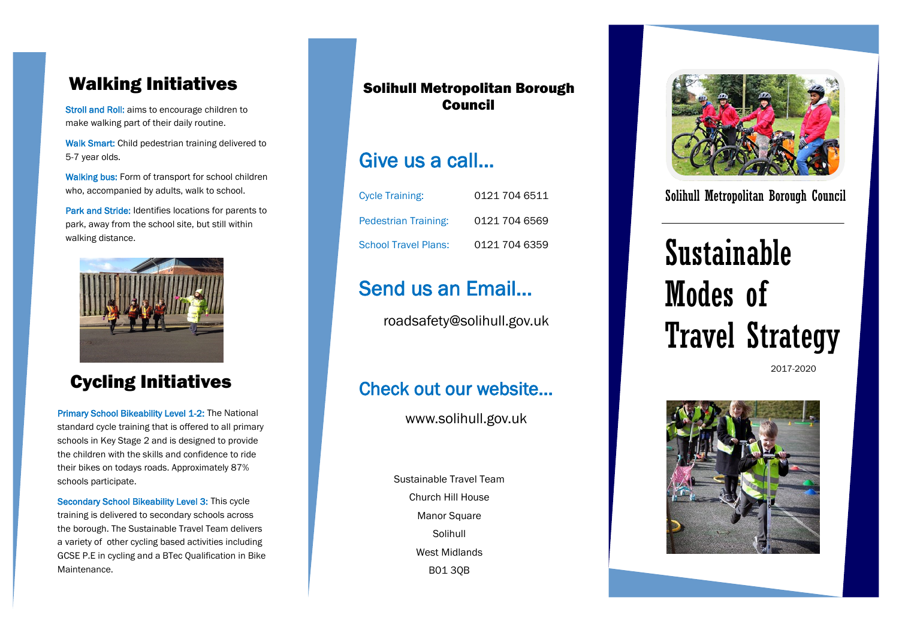#### Walking Initiatives

Stroll and Roll: aims to encourage children to make walking part of their daily routine.

Walk Smart: Child pedestrian training delivered to 5-7 year olds.

Walking bus: Form of transport for school children who, accompanied by adults, walk to school.

Park and Stride: Identifies locations for parents to park, away from the school site, but still within walking distance.



### Cycling Initiatives

Primary School Bikeability Level 1-2: The National standard cycle training that is offered to all primary schools in Key Stage 2 and is designed to provide the children with the skills and confidence to ride their bikes on todays roads. Approximately 87% schools participate.

Secondary School Bikeability Level 3: This cycle training is delivered to secondary schools across the borough. The Sustainable Travel Team delivers a variety of other cycling based activities including GCSE P.E in cycling and a BTec Qualification in Bike Maintenance.

#### Solihull Metropolitan Borough Council

#### Give us a call...

| Cycle Training:             | 0121 704 6511 |
|-----------------------------|---------------|
| Pedestrian Training:        | 0121 704 6569 |
| <b>School Travel Plans:</b> | 0121 704 6359 |

## Send us an Email...

roadsafety@solihull.gov.uk

#### Check out our website...

www.solihull.gov.uk

Sustainable Travel Team Church Hill House Manor Square Solihull West Midlands B01 3QB



Solihull Metropolitan Borough Council

# Sustainable Modes of Travel Strategy

2017-2020